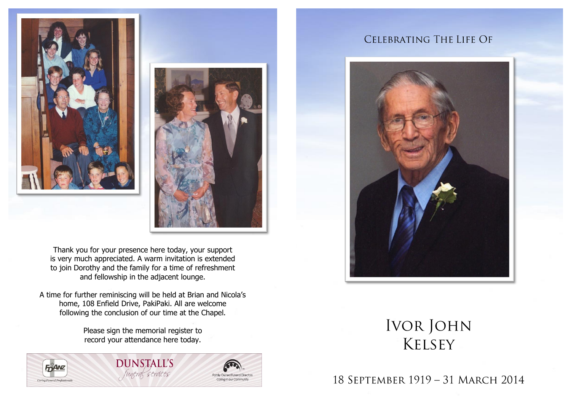



Thank you for your presence here today, your support is very much appreciated. A warm invitation is extended to join Dorothy and the family for a time of refreshment and fellowship in the adjacent lounge.

A time for further reminiscing will be held at Brian and Nicola's home, 108 Enfield Drive, PakiPaki. All are welcome following the conclusion of our time at the Chapel.

> Please sign the memorial register to record your attendance here today.



**DUNSTALL'S** funeral services



# CELEBRATING THE LIFE OF



# **IVOR JOHN KELSEY**

### 18 SEPTEMBER 1919 - 31 MARCH 2014